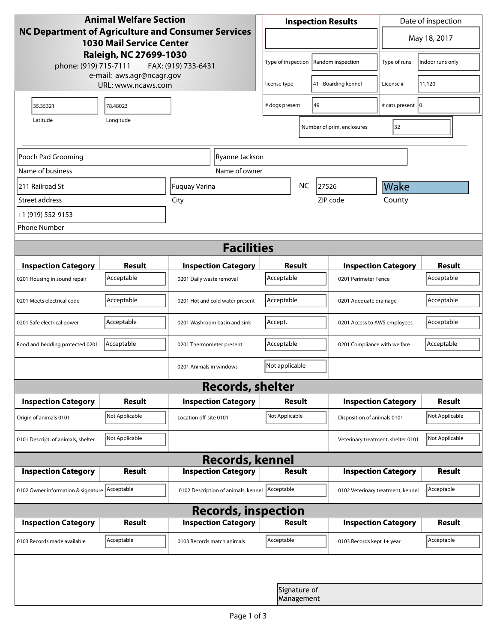| <b>Animal Welfare Section</b><br>NC Department of Agriculture and Consumer Services<br><b>1030 Mail Service Center</b><br>Raleigh, NC 27699-1030<br>phone: (919) 715-7111<br>FAX: (919) 733-6431 |                |                                     | <b>Inspection Results</b>               |                        |                                    | Date of inspection          |                |  |
|--------------------------------------------------------------------------------------------------------------------------------------------------------------------------------------------------|----------------|-------------------------------------|-----------------------------------------|------------------------|------------------------------------|-----------------------------|----------------|--|
|                                                                                                                                                                                                  |                |                                     | $\blacktriangledown$                    |                        |                                    | May 18, 2017                |                |  |
|                                                                                                                                                                                                  |                |                                     | Type of inspection<br>Random inspection |                        | Type of runs                       | Indoor runs only            |                |  |
| e-mail: aws.agr@ncagr.gov<br>URL: www.ncaws.com                                                                                                                                                  |                |                                     | 41 - Boarding kennel<br>license type    |                        | License #                          | 11,120                      |                |  |
| 35.35321                                                                                                                                                                                         | 78.48023       |                                     | # dogs present                          | 49                     |                                    | # cats present   0          |                |  |
| Latitude                                                                                                                                                                                         | Longitude      |                                     |                                         |                        | Number of prim. enclosures         | 32                          |                |  |
| Pooch Pad Grooming<br>Ryanne Jackson                                                                                                                                                             |                |                                     |                                         |                        |                                    |                             |                |  |
| Name of business                                                                                                                                                                                 |                | Name of owner                       |                                         |                        |                                    |                             |                |  |
| 211 Railroad St                                                                                                                                                                                  |                | Fuquay Varina                       | NC<br>27526                             |                        |                                    | Wake                        |                |  |
| Street address                                                                                                                                                                                   |                | City                                |                                         |                        | ZIP code                           | County                      |                |  |
| +1 (919) 552-9153                                                                                                                                                                                |                |                                     |                                         |                        |                                    |                             |                |  |
| <b>Phone Number</b>                                                                                                                                                                              |                |                                     |                                         |                        |                                    |                             |                |  |
| <b>Facilities</b>                                                                                                                                                                                |                |                                     |                                         |                        |                                    |                             |                |  |
| <b>Inspection Category</b>                                                                                                                                                                       | <b>Result</b>  | <b>Inspection Category</b>          | Result                                  |                        | <b>Inspection Category</b>         |                             | <b>Result</b>  |  |
| 0201 Housing in sound repair                                                                                                                                                                     | Acceptable     | 0201 Daily waste removal            | Acceptable                              |                        | 0201 Perimeter Fence               |                             | Acceptable     |  |
| 0201 Meets electrical code                                                                                                                                                                       | Acceptable     | 0201 Hot and cold water present     | Acceptable                              | 0201 Adequate drainage |                                    |                             | Acceptable     |  |
| 0201 Safe electrical power                                                                                                                                                                       | Acceptable     | 0201 Washroom basin and sink        | Accept.<br>0201 Access to AWS employees |                        |                                    | Acceptable                  |                |  |
| Food and bedding protected 0201                                                                                                                                                                  | Acceptable     | 0201 Thermometer present            | Acceptable                              |                        | 0201 Compliance with welfare       |                             | Acceptable     |  |
|                                                                                                                                                                                                  |                | 0201 Animals in windows             | Not applicable                          |                        |                                    |                             |                |  |
| <b>Records, shelter</b>                                                                                                                                                                          |                |                                     |                                         |                        |                                    |                             |                |  |
| <b>Inspection Category</b>                                                                                                                                                                       | Result         | <b>Inspection Category</b>          | Result                                  |                        |                                    | <b>Inspection Category</b>  | <b>Result</b>  |  |
| Origin of animals 0101                                                                                                                                                                           | Not Applicable | Location off-site 0101              |                                         | Not Applicable         |                                    | Disposition of animals 0101 | Not Applicable |  |
| 0101 Descript. of animals, shelter                                                                                                                                                               | Not Applicable |                                     |                                         |                        | Veterinary treatment, shelter 0101 |                             | Not Applicable |  |
| <b>Records, kennel</b>                                                                                                                                                                           |                |                                     |                                         |                        |                                    |                             |                |  |
| <b>Inspection Category</b>                                                                                                                                                                       | Result         | <b>Inspection Category</b>          | <b>Result</b>                           |                        |                                    | <b>Inspection Category</b>  | Result         |  |
| 0102 Owner information & signature Acceptable                                                                                                                                                    |                | 0102 Description of animals, kennel | Acceptable                              |                        | 0102 Veterinary treatment, kennel  |                             | Acceptable     |  |
| <b>Records, inspection</b>                                                                                                                                                                       |                |                                     |                                         |                        |                                    |                             |                |  |
| <b>Inspection Category</b>                                                                                                                                                                       | <b>Result</b>  | <b>Inspection Category</b>          | Result                                  |                        |                                    | <b>Inspection Category</b>  | <b>Result</b>  |  |
| 0103 Records made available                                                                                                                                                                      | Acceptable     | 0103 Records match animals          | Acceptable                              |                        | 0103 Records kept 1+ year          |                             | Acceptable     |  |
|                                                                                                                                                                                                  |                |                                     |                                         |                        |                                    |                             |                |  |
|                                                                                                                                                                                                  |                |                                     | Signature of<br>Management              |                        |                                    |                             |                |  |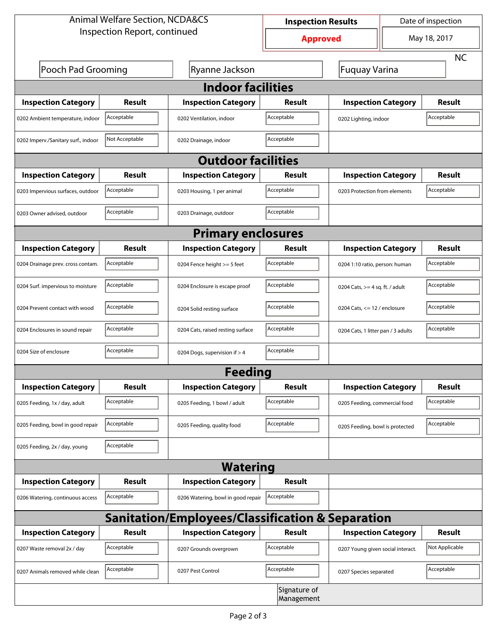| <b>Animal Welfare Section, NCDA&amp;CS</b>                  |                |                                    | <b>Inspection Results</b>  |                                     | Date of inspection |                |  |  |
|-------------------------------------------------------------|----------------|------------------------------------|----------------------------|-------------------------------------|--------------------|----------------|--|--|
| Inspection Report, continued                                |                |                                    | <b>Approved</b>            |                                     | May 18, 2017       |                |  |  |
|                                                             |                |                                    |                            |                                     |                    | <b>NC</b>      |  |  |
| Pooch Pad Grooming                                          |                | Ryanne Jackson                     |                            | Fuquay Varina                       |                    |                |  |  |
| <b>Indoor facilities</b>                                    |                |                                    |                            |                                     |                    |                |  |  |
| <b>Inspection Category</b>                                  | Result         | <b>Inspection Category</b>         | Result                     | <b>Inspection Category</b>          |                    | Result         |  |  |
| 0202 Ambient temperature, indoor                            | Acceptable     | 0202 Ventilation, indoor           | Acceptable                 | Acceptable<br>0202 Lighting, indoor |                    |                |  |  |
| 0202 Imperv./Sanitary surf., indoor                         | Not Acceptable | 0202 Drainage, indoor              | Acceptable                 |                                     |                    |                |  |  |
| <b>Outdoor facilities</b>                                   |                |                                    |                            |                                     |                    |                |  |  |
| <b>Inspection Category</b>                                  | Result         | <b>Inspection Category</b>         | Result                     | <b>Inspection Category</b>          |                    | Result         |  |  |
| 0203 Impervious surfaces, outdoor                           | Acceptable     | 0203 Housing, 1 per animal         | Acceptable                 | 0203 Protection from elements       |                    | Acceptable     |  |  |
| 0203 Owner advised, outdoor                                 | Acceptable     | 0203 Drainage, outdoor             | Acceptable                 |                                     |                    |                |  |  |
| <b>Primary enclosures</b>                                   |                |                                    |                            |                                     |                    |                |  |  |
| <b>Inspection Category</b>                                  | Result         | <b>Inspection Category</b>         | Result                     | <b>Inspection Category</b>          |                    | Result         |  |  |
| 0204 Drainage prev. cross contam.                           | Acceptable     | 0204 Fence height >= 5 feet        | Acceptable                 | 0204 1:10 ratio, person: human      |                    | Acceptable     |  |  |
| 0204 Surf. impervious to moisture                           | Acceptable     | 0204 Enclosure is escape proof     | Acceptable                 | 0204 Cats, $>=$ 4 sq. ft. / adult   |                    | Acceptable     |  |  |
| 0204 Prevent contact with wood                              | Acceptable     | 0204 Solid resting surface         | Acceptable                 | 0204 Cats, $<= 12$ / enclosure      |                    | Acceptable     |  |  |
| 0204 Enclosures in sound repair                             | Acceptable     | 0204 Cats, raised resting surface  | Acceptable                 | 0204 Cats, 1 litter pan / 3 adults  |                    | Acceptable     |  |  |
| 0204 Size of enclosure                                      | Acceptable     | 0204 Dogs, supervision if > 4      | Acceptable                 |                                     |                    |                |  |  |
|                                                             |                | <b>Feeding</b>                     |                            |                                     |                    |                |  |  |
| <b>Inspection Category</b>                                  | <b>Result</b>  | <b>Inspection Category</b>         | Result                     | <b>Inspection Category</b>          |                    | <b>Result</b>  |  |  |
| 0205 Feeding, 1x / day, adult                               | Acceptable     | 0205 Feeding, 1 bowl / adult       | Acceptable                 | 0205 Feeding, commercial food       |                    | Acceptable     |  |  |
| 0205 Feeding, bowl in good repair                           | Acceptable     | 0205 Feeding, quality food         | Acceptable                 | 0205 Feeding, bowl is protected     |                    | Acceptable     |  |  |
| 0205 Feeding, 2x / day, young                               | Acceptable     |                                    |                            |                                     |                    |                |  |  |
|                                                             |                | <b>Watering</b>                    |                            |                                     |                    |                |  |  |
| <b>Inspection Category</b>                                  | <b>Result</b>  | <b>Inspection Category</b>         | Result                     |                                     |                    |                |  |  |
| 0206 Watering, continuous access                            | Acceptable     | 0206 Watering, bowl in good repair | Acceptable                 |                                     |                    |                |  |  |
| <b>Sanitation/Employees/Classification &amp; Separation</b> |                |                                    |                            |                                     |                    |                |  |  |
| <b>Inspection Category</b>                                  | <b>Result</b>  | <b>Inspection Category</b>         | Result                     | <b>Inspection Category</b>          |                    | <b>Result</b>  |  |  |
| 0207 Waste removal 2x / day                                 | Acceptable     | 0207 Grounds overgrown             | Acceptable                 | 0207 Young given social interact.   |                    | Not Applicable |  |  |
| 0207 Animals removed while clean                            | Acceptable     | 0207 Pest Control                  | Acceptable                 | 0207 Species separated              |                    | Acceptable     |  |  |
|                                                             |                |                                    | Signature of<br>Management |                                     |                    |                |  |  |